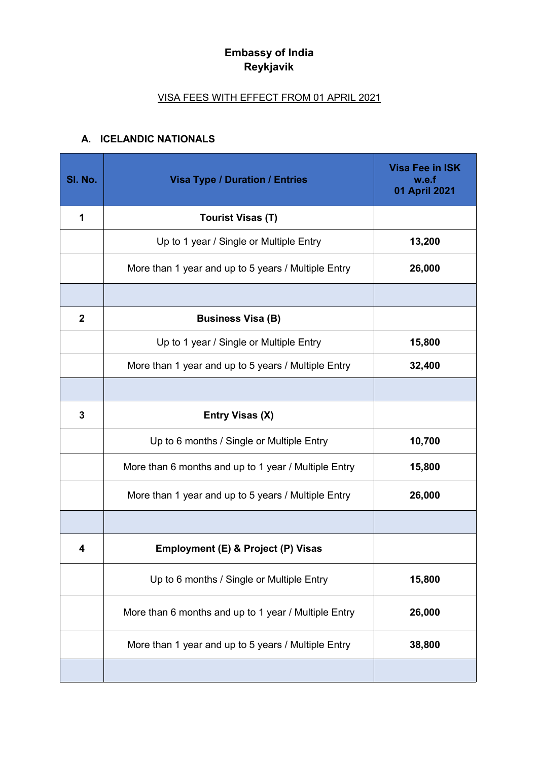# **Embassy of India Reykjavik**

# VISA FEES WITH EFFECT FROM 01 APRIL 2021

#### **A. ICELANDIC NATIONALS**

| SI. No.      | <b>Visa Type / Duration / Entries</b>                | <b>Visa Fee in ISK</b><br>w.e.f<br>01 April 2021 |
|--------------|------------------------------------------------------|--------------------------------------------------|
| 1            | <b>Tourist Visas (T)</b>                             |                                                  |
|              | Up to 1 year / Single or Multiple Entry              | 13,200                                           |
|              | More than 1 year and up to 5 years / Multiple Entry  | 26,000                                           |
|              |                                                      |                                                  |
| $\mathbf{2}$ | <b>Business Visa (B)</b>                             |                                                  |
|              | Up to 1 year / Single or Multiple Entry              | 15,800                                           |
|              | More than 1 year and up to 5 years / Multiple Entry  | 32,400                                           |
|              |                                                      |                                                  |
| 3            | Entry Visas (X)                                      |                                                  |
|              | Up to 6 months / Single or Multiple Entry            | 10,700                                           |
|              | More than 6 months and up to 1 year / Multiple Entry | 15,800                                           |
|              | More than 1 year and up to 5 years / Multiple Entry  | 26,000                                           |
|              |                                                      |                                                  |
| 4            | Employment (E) & Project (P) Visas                   |                                                  |
|              | Up to 6 months / Single or Multiple Entry            | 15,800                                           |
|              | More than 6 months and up to 1 year / Multiple Entry | 26,000                                           |
|              | More than 1 year and up to 5 years / Multiple Entry  | 38,800                                           |
|              |                                                      |                                                  |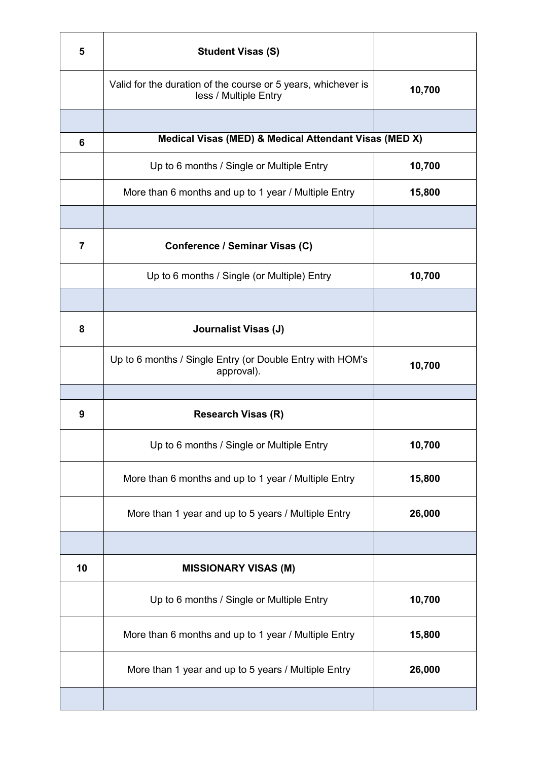| 5              | <b>Student Visas (S)</b>                                                               |        |
|----------------|----------------------------------------------------------------------------------------|--------|
|                | Valid for the duration of the course or 5 years, whichever is<br>less / Multiple Entry | 10,700 |
|                |                                                                                        |        |
| 6              | Medical Visas (MED) & Medical Attendant Visas (MED X)                                  |        |
|                | Up to 6 months / Single or Multiple Entry                                              | 10,700 |
|                | More than 6 months and up to 1 year / Multiple Entry                                   | 15,800 |
|                |                                                                                        |        |
| $\overline{7}$ | <b>Conference / Seminar Visas (C)</b>                                                  |        |
|                | Up to 6 months / Single (or Multiple) Entry                                            | 10,700 |
|                |                                                                                        |        |
| 8              | Journalist Visas (J)                                                                   |        |
|                | Up to 6 months / Single Entry (or Double Entry with HOM's<br>approval).                | 10,700 |
|                |                                                                                        |        |
| 9              | <b>Research Visas (R)</b>                                                              |        |
|                |                                                                                        |        |
|                | Up to 6 months / Single or Multiple Entry                                              | 10,700 |
|                | More than 6 months and up to 1 year / Multiple Entry                                   | 15,800 |
|                | More than 1 year and up to 5 years / Multiple Entry                                    | 26,000 |
|                |                                                                                        |        |
| 10             | <b>MISSIONARY VISAS (M)</b>                                                            |        |
|                | Up to 6 months / Single or Multiple Entry                                              | 10,700 |
|                | More than 6 months and up to 1 year / Multiple Entry                                   | 15,800 |
|                | More than 1 year and up to 5 years / Multiple Entry                                    | 26,000 |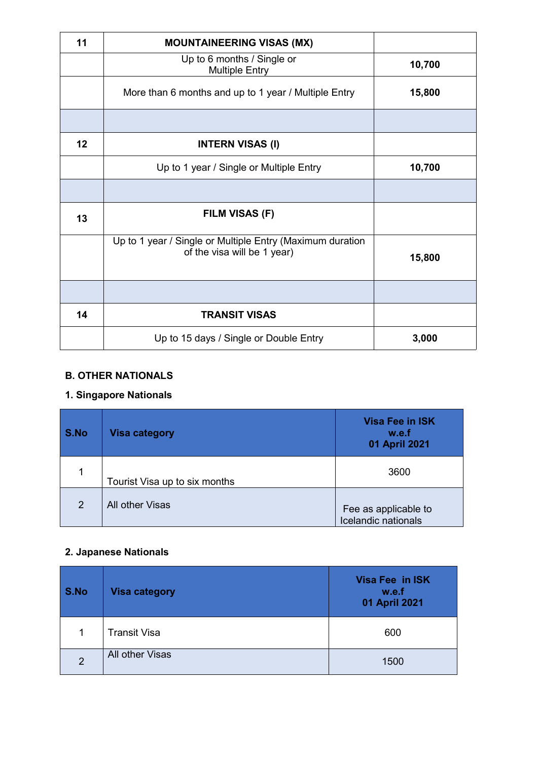| 11 | <b>MOUNTAINEERING VISAS (MX)</b>                                                         |        |
|----|------------------------------------------------------------------------------------------|--------|
|    | Up to 6 months / Single or<br><b>Multiple Entry</b>                                      | 10,700 |
|    | More than 6 months and up to 1 year / Multiple Entry                                     | 15,800 |
|    |                                                                                          |        |
| 12 | <b>INTERN VISAS (I)</b>                                                                  |        |
|    | Up to 1 year / Single or Multiple Entry                                                  | 10,700 |
|    |                                                                                          |        |
| 13 | <b>FILM VISAS (F)</b>                                                                    |        |
|    | Up to 1 year / Single or Multiple Entry (Maximum duration<br>of the visa will be 1 year) | 15,800 |
|    |                                                                                          |        |
| 14 | <b>TRANSIT VISAS</b>                                                                     |        |
|    | Up to 15 days / Single or Double Entry                                                   | 3,000  |

#### **B. OTHER NATIONALS**

# **1. Singapore Nationals**

| S.No          | <b>Visa category</b>          | <b>Visa Fee in ISK</b><br>w.e.f<br>01 April 2021 |
|---------------|-------------------------------|--------------------------------------------------|
| 4             | Tourist Visa up to six months | 3600                                             |
| $\mathcal{P}$ | All other Visas               | Fee as applicable to<br>Icelandic nationals      |

# **2. Japanese Nationals**

| S.No           | <b>Visa category</b> | Visa Fee in ISK<br>w.e.f<br>01 April 2021 |
|----------------|----------------------|-------------------------------------------|
|                | <b>Transit Visa</b>  | 600                                       |
| $\overline{2}$ | All other Visas      | 1500                                      |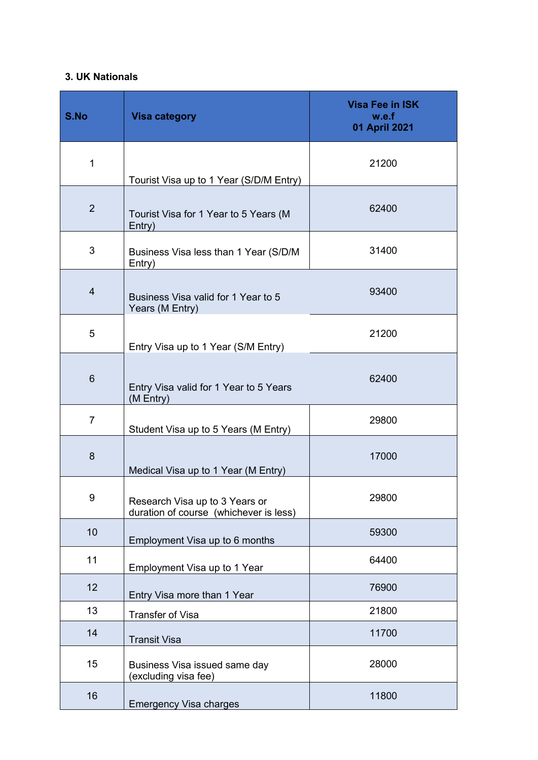#### **3. UK Nationals**

| S.No           | <b>Visa category</b>                                                     | <b>Visa Fee in ISK</b><br>w.e.f<br>01 April 2021 |
|----------------|--------------------------------------------------------------------------|--------------------------------------------------|
| $\mathbf{1}$   | Tourist Visa up to 1 Year (S/D/M Entry)                                  | 21200                                            |
| $\overline{2}$ | Tourist Visa for 1 Year to 5 Years (M<br>Entry)                          | 62400                                            |
| $\mathbf{3}$   | Business Visa less than 1 Year (S/D/M<br>Entry)                          | 31400                                            |
| $\overline{4}$ | Business Visa valid for 1 Year to 5<br>Years (M Entry)                   | 93400                                            |
| $\sqrt{5}$     | Entry Visa up to 1 Year (S/M Entry)                                      | 21200                                            |
| $6\phantom{1}$ | Entry Visa valid for 1 Year to 5 Years<br>(M Entry)                      | 62400                                            |
| $\overline{7}$ | Student Visa up to 5 Years (M Entry)                                     | 29800                                            |
| $\bf 8$        | Medical Visa up to 1 Year (M Entry)                                      | 17000                                            |
| 9              | Research Visa up to 3 Years or<br>duration of course (whichever is less) | 29800                                            |
| 10             | Employment Visa up to 6 months                                           | 59300                                            |
| 11             | Employment Visa up to 1 Year                                             | 64400                                            |
| 12             | Entry Visa more than 1 Year                                              | 76900                                            |
| 13             | Transfer of Visa                                                         | 21800                                            |
| 14             | <b>Transit Visa</b>                                                      | 11700                                            |
| 15             | Business Visa issued same day<br>(excluding visa fee)                    | 28000                                            |
| 16             | <b>Emergency Visa charges</b>                                            | 11800                                            |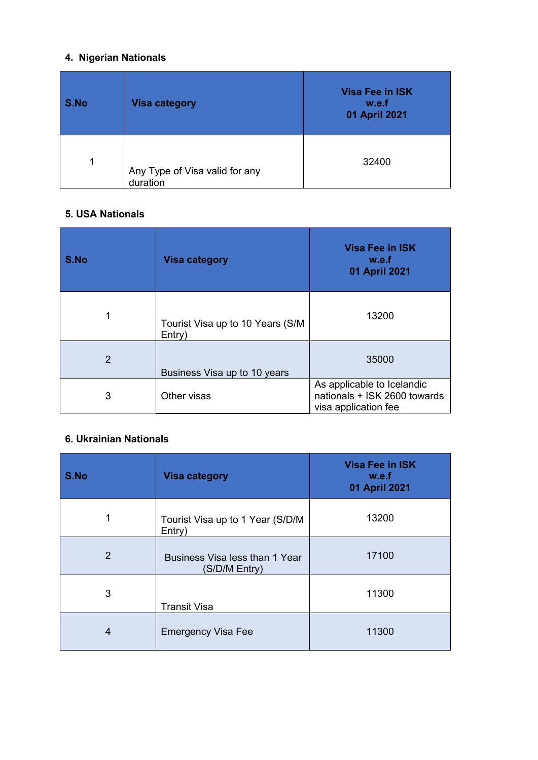# **4. Nigerian Nationals**

| S.No | <b>Visa category</b>                       | <b>Visa Fee in ISK</b><br>w.e.f<br>01 April 2021 |
|------|--------------------------------------------|--------------------------------------------------|
| 1    | Any Type of Visa valid for any<br>duration | 32400                                            |

#### **5. USA Nationals**

| S.No           | <b>Visa category</b>                      | <b>Visa Fee in ISK</b><br>w.e.f<br>01 April 2021                                   |
|----------------|-------------------------------------------|------------------------------------------------------------------------------------|
|                | Tourist Visa up to 10 Years (S/M<br>Entry | 13200                                                                              |
| $\overline{2}$ | Business Visa up to 10 years              | 35000                                                                              |
| 3              | Other visas                               | As applicable to Icelandic<br>nationals + ISK 2600 towards<br>visa application fee |

#### **6. Ukrainian Nationals**

| S.No           | <b>Visa category</b>                            | <b>Visa Fee in ISK</b><br>w.e.f<br>01 April 2021 |
|----------------|-------------------------------------------------|--------------------------------------------------|
| $\mathbf{1}$   | Tourist Visa up to 1 Year (S/D/M<br>Entry)      | 13200                                            |
| $\overline{2}$ | Business Visa less than 1 Year<br>(S/D/M Entry) | 17100                                            |
| 3              | <b>Transit Visa</b>                             | 11300                                            |
| $\overline{4}$ | <b>Emergency Visa Fee</b>                       | 11300                                            |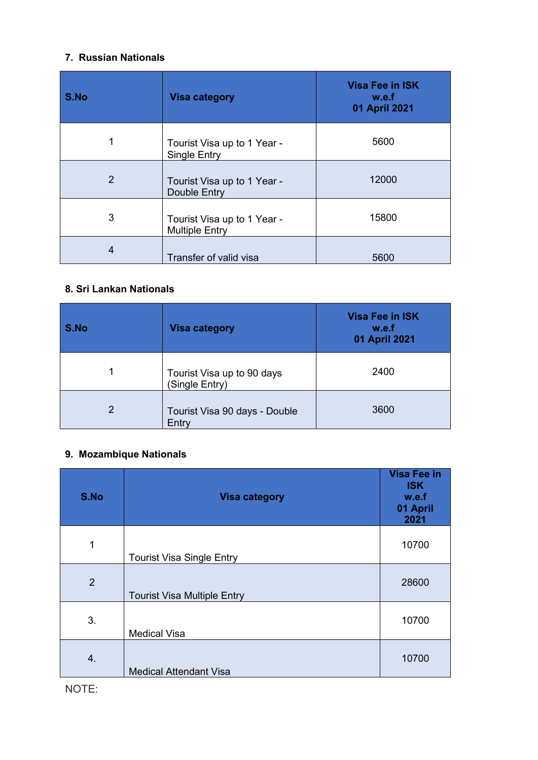#### **7. Russian Nationals**

| S.No | <b>Visa category</b>                                 | <b>Visa Fee in ISK</b><br>w.e.f<br>01 April 2021 |
|------|------------------------------------------------------|--------------------------------------------------|
|      | Tourist Visa up to 1 Year -<br><b>Single Entry</b>   | 5600                                             |
| 2    | Tourist Visa up to 1 Year -<br>Double Entry          | 12000                                            |
| 3    | Tourist Visa up to 1 Year -<br><b>Multiple Entry</b> | 15800                                            |
| 4    | Transfer of valid visa                               | 5600                                             |

#### **8. Sri Lankan Nationals**

| S.No           | <b>Visa category</b>                         | <b>Visa Fee in ISK</b><br>w.e.f<br>01 April 2021 |
|----------------|----------------------------------------------|--------------------------------------------------|
|                | Tourist Visa up to 90 days<br>(Single Entry) | 2400                                             |
| $\overline{2}$ | Tourist Visa 90 days - Double<br>Entry       | 3600                                             |

# **9. Mozambique Nationals**

| S.No           | <b>Visa category</b>               | <b>Visa Fee in</b><br><b>ISK</b><br>w.e.f<br>01 April<br>2021 |
|----------------|------------------------------------|---------------------------------------------------------------|
| 1              | <b>Tourist Visa Single Entry</b>   | 10700                                                         |
| $\overline{2}$ | <b>Tourist Visa Multiple Entry</b> | 28600                                                         |
| 3.             | <b>Medical Visa</b>                | 10700                                                         |
| 4.             | <b>Medical Attendant Visa</b>      | 10700                                                         |

# NOTE: